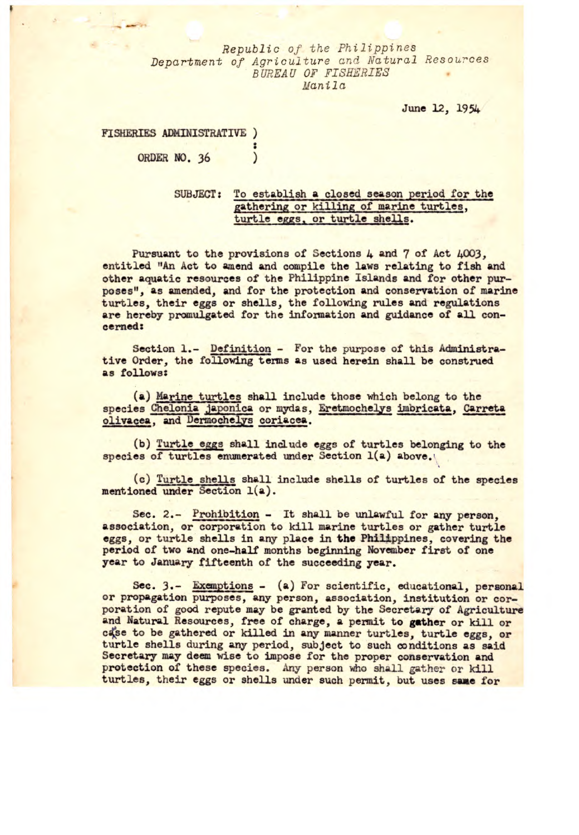*Republic of the Philippines Department of* Agriculture and Natural Resources *B UREA U OF FISHERIES Man i 1 a* 

June 12, 1954

## **FISHERIES ADMINISTRATIVE ORDER NO.** 36  $\mathcal{L}$

## SUBJECT: To establish a closed season period for the gathering or killing of marine turtles, turtle eggs, or turtle shells.

Pursuant to the provisions of Sections 4 and 7 of Act 4003, entitled "An Act to amend and compile the laws relating to fish and other aquatic resources of the Philippine Islands and for other purposes", as amended, and for the protection and *conservation* of marine turtles, their eggs or shells, the following rules and regulations are hereby promulgated for the *information* **and guidance of all concerned:** 

**Section** 1.- Definition - For the purpose of this Administrative Order, the following terms as used herein shall be construed as follows:

(a) Marine turtles shall include those which belong to the species Chelonia japonica or mydas, Eretmochelye imbricata, Carreta olivacea, and Dermochelys coriacea.

(b) Turtle eggs shall include eggs of turtles belonging to the species of turtles enumerated under Section 1(a) above.

(c) Turtle shells shall include shells of turtles of the species mentioned under Section 1(a).

Sec. 2.- Prohibition - It shall be unlawful for any person. association, or corporation to kill marine turtles or gather turtle eggs, or turtle shells in any place in the Philippines, covering the period of two and one-half months beginning November first of one year to January fifteenth of the succeeding year.

Sec. 3.- Exemptions - (a) For scientific, educational, personal or propagation purposes, any person, association, institution or corporation of good repute may be granted by the Secretary of Agriculture and Natural Resources, free of charge, a permit to gather or kill or case to be gathered or killed in any manner turtles, turtle eggs, or turtle shells during any period, subject to such conditions as said Secretary may deem wise to impose for the proper conservation and protection of these species. Any person who shall gather or kill turtles, their eggs or shells under such permit, but uses same for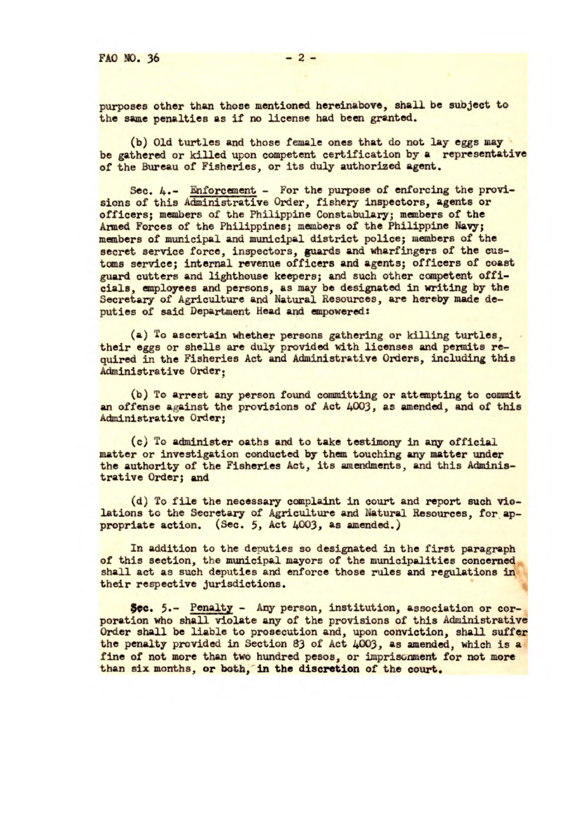purposes other than those mentioned hereinabove, shall be subject to the same penalties as if no license had been granted.

(b) Old turtles and those female ones that do not lay eggs may be gathered or killed upon competent certification by a representative of the Bureau of Fisheries, or its duly authorized agent.

Sec. 4.- Enforcement - For the purpose of enforcing the provisions of this Administrative Order, fishery inspectors, agents or officers; members of the Philippine Constabulary; members of the Armed Forces of the Philippines; members of the Philippine Navy; members of municipal and municipal district police; members of the secret service force, inspectors, guards and wharfingers of the customs service; internal revenue officers and agents; officers of coast guard cutters and lighthouse keepers; and such other competent officials, employees and persons, as may be designated in writing by the Secretary of Agriculture and Natural Resources, are hereby made deputies of said Department Head and empowered:

(a) To ascertain whether persons gathering or killing turtles, their eggs or shells are duly provided with licenses and permits required in the Fisheries Act and Administrative Orders, including this Administrative Order;

(b) To arrest any person found committing or attempting to commit an offense against the provisions of Act 4003, as amended, and of this Administrative Order;

(c) To administer oaths and to take testimony in any official matter or investigation conducted by them touching any matter under the authority of the Fisheries Act, its **amendments, and this Administrative Order; and** 

**(d) To file the necessary complaint in** court and report such violations to the Secretary of **Agriculture and Natural Resources,** for appropriate action. **(Sec.** 5, Act 4003, as amended,)

In addition to the deputies so designated in the first paragraph of this section, the municipal mayors of the municipalities concerned shall act as such deputies and enforce those rules and regulations in their respective jurisdictions.

Sec. 5.- Penalty - Any person, institution, association or corporation who shall violate any of the provisions of this Administrative Order shall be liable to prosecution and, upon conviction, shall suffer the penalty provided in Section 83 of Act 4003, as amended, which is a fine of not more than **two hundred pesos, or imprisonment for not more than six** months, or botb, **in the discretion** of the court.